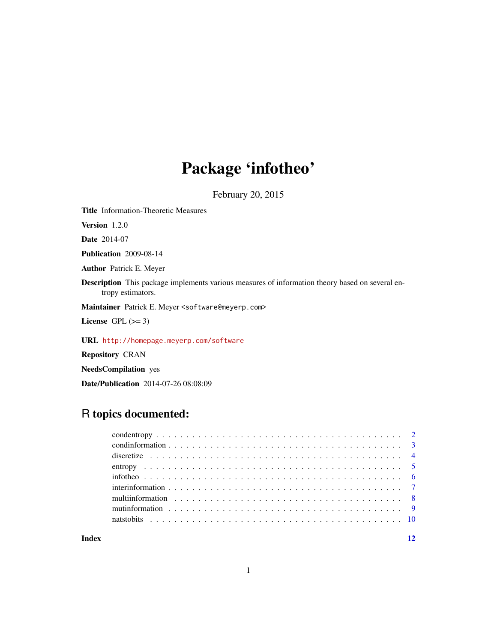# Package 'infotheo'

February 20, 2015

Title Information-Theoretic Measures

Version 1.2.0

Date 2014-07

Publication 2009-08-14

Author Patrick E. Meyer

Description This package implements various measures of information theory based on several entropy estimators.

Maintainer Patrick E. Meyer <software@meyerp.com>

License GPL  $(>= 3)$ 

URL <http://homepage.meyerp.com/software>

Repository CRAN

NeedsCompilation yes

Date/Publication 2014-07-26 08:08:09

# R topics documented:

**Index** [12](#page-11-0)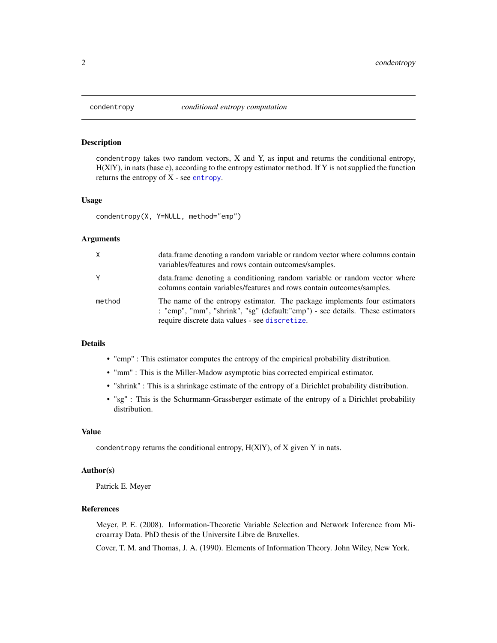<span id="page-1-1"></span><span id="page-1-0"></span>

# Description

condentropy takes two random vectors, X and Y, as input and returns the conditional entropy, H(X|Y), in nats (base e), according to the entropy estimator method. If Y is not supplied the function returns the entropy of X - see [entropy](#page-4-1).

#### Usage

condentropy(X, Y=NULL, method="emp")

#### Arguments

| X.     | data. frame denoting a random variable or random vector where columns contain<br>variables/features and rows contain outcomes/samples.                                                                        |
|--------|---------------------------------------------------------------------------------------------------------------------------------------------------------------------------------------------------------------|
| Y      | data.frame denoting a conditioning random variable or random vector where<br>columns contain variables/features and rows contain outcomes/samples.                                                            |
| method | The name of the entropy estimator. The package implements four estimators<br>: "emp", "mm", "shrink", "sg" (default: "emp") - see details. These estimators<br>require discrete data values - see discretize. |

# Details

- "emp" : This estimator computes the entropy of the empirical probability distribution.
- "mm" : This is the Miller-Madow asymptotic bias corrected empirical estimator.
- "shrink" : This is a shrinkage estimate of the entropy of a Dirichlet probability distribution.
- "sg" : This is the Schurmann-Grassberger estimate of the entropy of a Dirichlet probability distribution.

#### Value

condentropy returns the conditional entropy,  $H(X|Y)$ , of X given Y in nats.

# Author(s)

Patrick E. Meyer

# References

Meyer, P. E. (2008). Information-Theoretic Variable Selection and Network Inference from Microarray Data. PhD thesis of the Universite Libre de Bruxelles.

Cover, T. M. and Thomas, J. A. (1990). Elements of Information Theory. John Wiley, New York.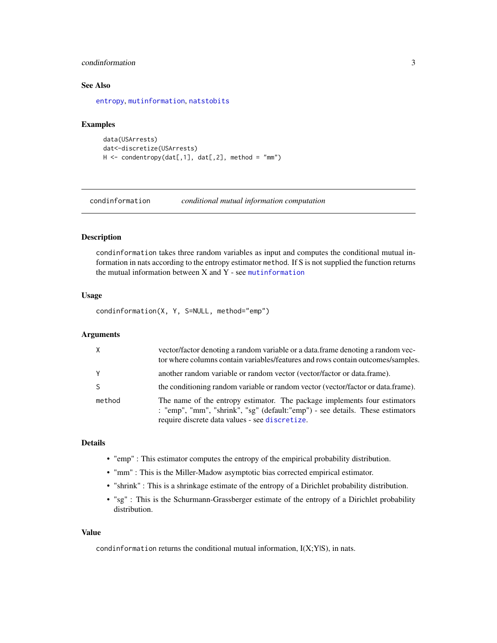# <span id="page-2-0"></span>condinformation 3

# See Also

[entropy](#page-4-1), [mutinformation](#page-8-1), [natstobits](#page-9-1)

#### Examples

```
data(USArrests)
dat<-discretize(USArrests)
H \le - condentropy(dat[,1], dat[,2], method = "mm")
```
<span id="page-2-1"></span>condinformation *conditional mutual information computation*

# Description

condinformation takes three random variables as input and computes the conditional mutual information in nats according to the entropy estimator method. If S is not supplied the function returns the mutual information between X and Y - see [mutinformation](#page-8-1)

# Usage

condinformation(X, Y, S=NULL, method="emp")

# Arguments

| X      | vector/factor denoting a random variable or a data.frame denoting a random vec-<br>tor where columns contain variables/features and rows contain outcomes/samples.                                            |
|--------|---------------------------------------------------------------------------------------------------------------------------------------------------------------------------------------------------------------|
| Y      | another random variable or random vector (vector/factor or data.frame).                                                                                                                                       |
|        | the conditioning random variable or random vector (vector/factor or data.frame).                                                                                                                              |
| method | The name of the entropy estimator. The package implements four estimators<br>: "emp", "mm", "shrink", "sg" (default: "emp") - see details. These estimators<br>require discrete data values - see discretize. |

# Details

- "emp" : This estimator computes the entropy of the empirical probability distribution.
- "mm" : This is the Miller-Madow asymptotic bias corrected empirical estimator.
- "shrink" : This is a shrinkage estimate of the entropy of a Dirichlet probability distribution.
- "sg" : This is the Schurmann-Grassberger estimate of the entropy of a Dirichlet probability distribution.

# Value

condinformation returns the conditional mutual information, I(X;Y|S), in nats.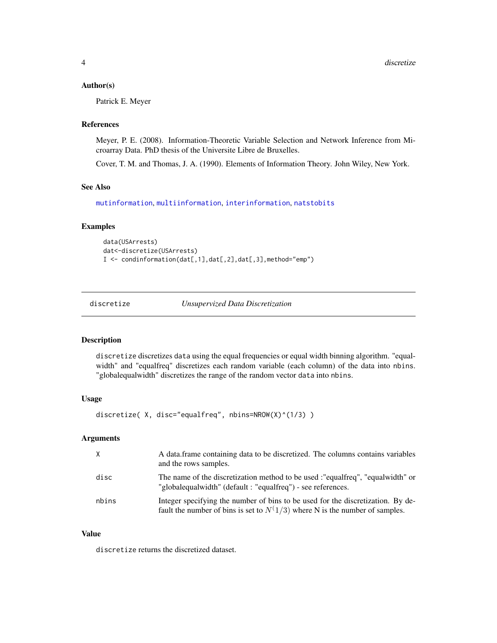#### <span id="page-3-0"></span>Author(s)

Patrick E. Meyer

# References

Meyer, P. E. (2008). Information-Theoretic Variable Selection and Network Inference from Microarray Data. PhD thesis of the Universite Libre de Bruxelles.

Cover, T. M. and Thomas, J. A. (1990). Elements of Information Theory. John Wiley, New York.

# See Also

[mutinformation](#page-8-1), [multiinformation](#page-7-1), [interinformation](#page-6-1), [natstobits](#page-9-1)

#### Examples

```
data(USArrests)
dat<-discretize(USArrests)
I <- condinformation(dat[,1],dat[,2],dat[,3],method="emp")
```
<span id="page-3-1"></span>discretize *Unsupervized Data Discretization*

# Description

discretize discretizes data using the equal frequencies or equal width binning algorithm. "equalwidth" and "equalfreq" discretizes each random variable (each column) of the data into nbins. "globalequalwidth" discretizes the range of the random vector data into nbins.

## Usage

discretize( X, disc="equalfreq", nbins=NROW(X)^(1/3) )

# Arguments

| X     | A data frame containing data to be discretized. The columns contains variables<br>and the rows samples.                                                          |
|-------|------------------------------------------------------------------------------------------------------------------------------------------------------------------|
| disc  | The name of the discretization method to be used :"equalfreq", "equalwidth" or<br>"globalequalwidth" (default : "equalfreq") - see references.                   |
| nbins | Integer specifying the number of bins to be used for the discretization. By de-<br>fault the number of bins is set to $N(1/3)$ where N is the number of samples. |

#### Value

discretize returns the discretized dataset.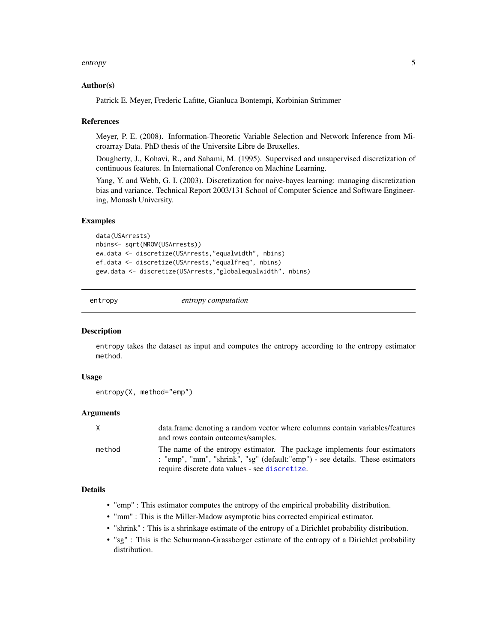#### <span id="page-4-0"></span>entropy 5

#### Author(s)

Patrick E. Meyer, Frederic Lafitte, Gianluca Bontempi, Korbinian Strimmer

#### References

Meyer, P. E. (2008). Information-Theoretic Variable Selection and Network Inference from Microarray Data. PhD thesis of the Universite Libre de Bruxelles.

Dougherty, J., Kohavi, R., and Sahami, M. (1995). Supervised and unsupervised discretization of continuous features. In International Conference on Machine Learning.

Yang, Y. and Webb, G. I. (2003). Discretization for naive-bayes learning: managing discretization bias and variance. Technical Report 2003/131 School of Computer Science and Software Engineering, Monash University.

#### Examples

```
data(USArrests)
nbins<- sqrt(NROW(USArrests))
ew.data <- discretize(USArrests,"equalwidth", nbins)
ef.data <- discretize(USArrests,"equalfreq", nbins)
gew.data <- discretize(USArrests,"globalequalwidth", nbins)
```
<span id="page-4-1"></span>

entropy *entropy computation*

# **Description**

entropy takes the dataset as input and computes the entropy according to the entropy estimator method.

#### Usage

```
entropy(X, method="emp")
```
#### Arguments

| X      | data frame denoting a random vector where columns contain variables/features   |
|--------|--------------------------------------------------------------------------------|
|        | and rows contain outcomes/samples.                                             |
| method | The name of the entropy estimator. The package implements four estimators      |
|        | : "emp", "mm", "shrink", "sg" (default: "emp") - see details. These estimators |
|        | require discrete data values - see discretize.                                 |

#### Details

- "emp" : This estimator computes the entropy of the empirical probability distribution.
- "mm" : This is the Miller-Madow asymptotic bias corrected empirical estimator.
- "shrink" : This is a shrinkage estimate of the entropy of a Dirichlet probability distribution.
- "sg" : This is the Schurmann-Grassberger estimate of the entropy of a Dirichlet probability distribution.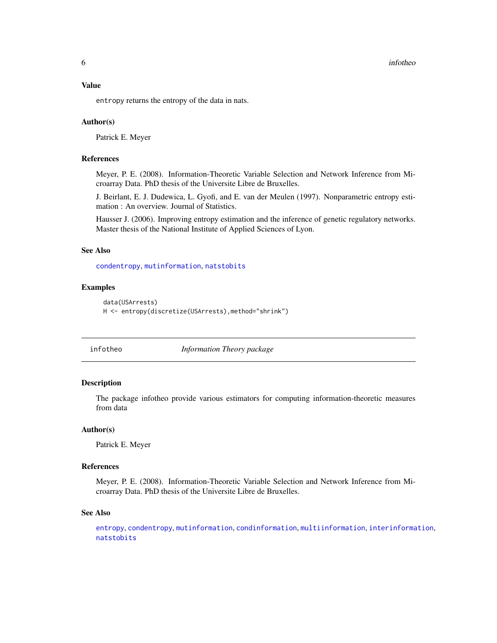<span id="page-5-0"></span>**6** infotheo **infotheo infotheo infotheo infotheo infotheo infotheo infotheo** 

#### Value

entropy returns the entropy of the data in nats.

#### Author(s)

Patrick E. Meyer

# References

Meyer, P. E. (2008). Information-Theoretic Variable Selection and Network Inference from Microarray Data. PhD thesis of the Universite Libre de Bruxelles.

J. Beirlant, E. J. Dudewica, L. Gyofi, and E. van der Meulen (1997). Nonparametric entropy estimation : An overview. Journal of Statistics.

Hausser J. (2006). Improving entropy estimation and the inference of genetic regulatory networks. Master thesis of the National Institute of Applied Sciences of Lyon.

# See Also

[condentropy](#page-1-1), [mutinformation](#page-8-1), [natstobits](#page-9-1)

#### Examples

```
data(USArrests)
H <- entropy(discretize(USArrests),method="shrink")
```
infotheo *Information Theory package*

# Description

The package infotheo provide various estimators for computing information-theoretic measures from data

#### Author(s)

Patrick E. Meyer

#### References

Meyer, P. E. (2008). Information-Theoretic Variable Selection and Network Inference from Microarray Data. PhD thesis of the Universite Libre de Bruxelles.

# See Also

[entropy](#page-4-1), [condentropy](#page-1-1), [mutinformation](#page-8-1), [condinformation](#page-2-1), [multiinformation](#page-7-1), [interinformation](#page-6-1), [natstobits](#page-9-1)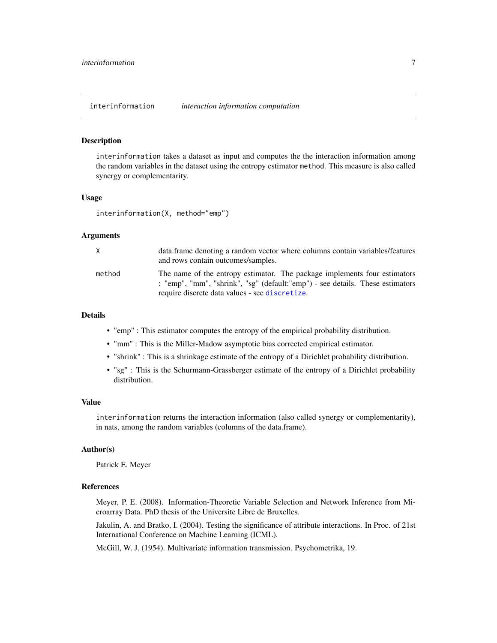<span id="page-6-1"></span><span id="page-6-0"></span>interinformation *interaction information computation*

#### Description

interinformation takes a dataset as input and computes the the interaction information among the random variables in the dataset using the entropy estimator method. This measure is also called synergy or complementarity.

# Usage

interinformation(X, method="emp")

#### Arguments

| X.     | data. frame denoting a random vector where columns contain variables/features<br>and rows contain outcomes/samples.                                                                                           |
|--------|---------------------------------------------------------------------------------------------------------------------------------------------------------------------------------------------------------------|
| method | The name of the entropy estimator. The package implements four estimators<br>: "emp", "mm", "shrink", "sg" (default: "emp") - see details. These estimators<br>require discrete data values - see discretize. |

#### Details

- "emp" : This estimator computes the entropy of the empirical probability distribution.
- "mm" : This is the Miller-Madow asymptotic bias corrected empirical estimator.
- "shrink" : This is a shrinkage estimate of the entropy of a Dirichlet probability distribution.
- "sg" : This is the Schurmann-Grassberger estimate of the entropy of a Dirichlet probability distribution.

# Value

interinformation returns the interaction information (also called synergy or complementarity), in nats, among the random variables (columns of the data.frame).

## Author(s)

Patrick E. Meyer

# References

Meyer, P. E. (2008). Information-Theoretic Variable Selection and Network Inference from Microarray Data. PhD thesis of the Universite Libre de Bruxelles.

Jakulin, A. and Bratko, I. (2004). Testing the significance of attribute interactions. In Proc. of 21st International Conference on Machine Learning (ICML).

McGill, W. J. (1954). Multivariate information transmission. Psychometrika, 19.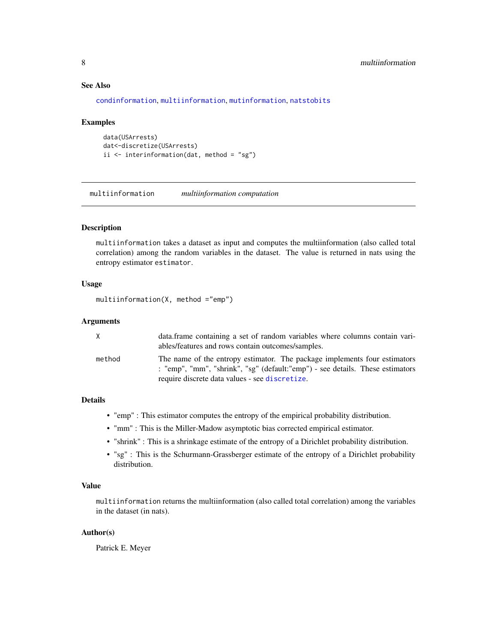# See Also

[condinformation](#page-2-1), [multiinformation](#page-7-1), [mutinformation](#page-8-1), [natstobits](#page-9-1)

#### Examples

```
data(USArrests)
dat<-discretize(USArrests)
ii <- interinformation(dat, method = "sg")
```
<span id="page-7-1"></span>multiinformation *multiinformation computation*

# Description

multiinformation takes a dataset as input and computes the multiinformation (also called total correlation) among the random variables in the dataset. The value is returned in nats using the entropy estimator estimator.

# Usage

```
multiinformation(X, method ="emp")
```
# Arguments

| X      | data.frame containing a set of random variables where columns contain vari-<br>ables/features and rows contain outcomes/samples.                                                                              |
|--------|---------------------------------------------------------------------------------------------------------------------------------------------------------------------------------------------------------------|
| method | The name of the entropy estimator. The package implements four estimators<br>: "emp", "mm", "shrink", "sg" (default: "emp") - see details. These estimators<br>require discrete data values - see discretize. |

#### Details

- "emp" : This estimator computes the entropy of the empirical probability distribution.
- "mm" : This is the Miller-Madow asymptotic bias corrected empirical estimator.
- "shrink" : This is a shrinkage estimate of the entropy of a Dirichlet probability distribution.
- "sg" : This is the Schurmann-Grassberger estimate of the entropy of a Dirichlet probability distribution.

# Value

multiinformation returns the multiinformation (also called total correlation) among the variables in the dataset (in nats).

# Author(s)

Patrick E. Meyer

<span id="page-7-0"></span>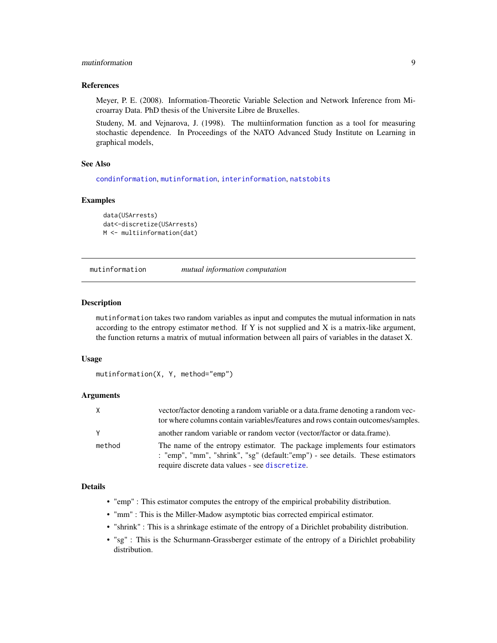# <span id="page-8-0"></span>mutinformation 9

#### References

Meyer, P. E. (2008). Information-Theoretic Variable Selection and Network Inference from Microarray Data. PhD thesis of the Universite Libre de Bruxelles.

Studeny, M. and Vejnarova, J. (1998). The multiinformation function as a tool for measuring stochastic dependence. In Proceedings of the NATO Advanced Study Institute on Learning in graphical models,

#### See Also

[condinformation](#page-2-1), [mutinformation](#page-8-1), [interinformation](#page-6-1), [natstobits](#page-9-1)

#### Examples

```
data(USArrests)
dat<-discretize(USArrests)
M <- multiinformation(dat)
```
<span id="page-8-1"></span>mutinformation *mutual information computation*

#### Description

mutinformation takes two random variables as input and computes the mutual information in nats according to the entropy estimator method. If Y is not supplied and X is a matrix-like argument, the function returns a matrix of mutual information between all pairs of variables in the dataset X.

## Usage

```
mutinformation(X, Y, method="emp")
```
# Arguments

| X      | vector/factor denoting a random variable or a data.frame denoting a random vec-<br>tor where columns contain variables/features and rows contain outcomes/samples.                                            |
|--------|---------------------------------------------------------------------------------------------------------------------------------------------------------------------------------------------------------------|
| Y      | another random variable or random vector (vector/factor or data.frame).                                                                                                                                       |
| method | The name of the entropy estimator. The package implements four estimators<br>: "emp", "mm", "shrink", "sg" (default: "emp") - see details. These estimators<br>require discrete data values - see discretize. |

# Details

- "emp" : This estimator computes the entropy of the empirical probability distribution.
- "mm" : This is the Miller-Madow asymptotic bias corrected empirical estimator.
- "shrink" : This is a shrinkage estimate of the entropy of a Dirichlet probability distribution.
- "sg" : This is the Schurmann-Grassberger estimate of the entropy of a Dirichlet probability distribution.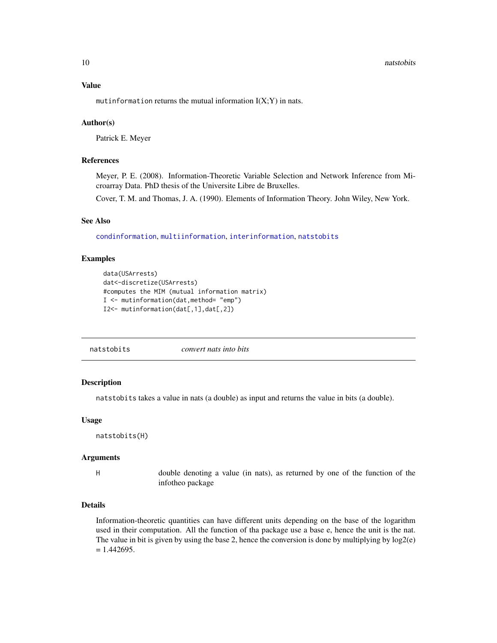#### <span id="page-9-0"></span>10 natstobits and the contract of the contract of the contract of the contract of the contract of the contract of the contract of the contract of the contract of the contract of the contract of the contract of the contract

# Value

mutinformation returns the mutual information  $I(X;Y)$  in nats.

## Author(s)

Patrick E. Meyer

# References

Meyer, P. E. (2008). Information-Theoretic Variable Selection and Network Inference from Microarray Data. PhD thesis of the Universite Libre de Bruxelles.

Cover, T. M. and Thomas, J. A. (1990). Elements of Information Theory. John Wiley, New York.

#### See Also

[condinformation](#page-2-1), [multiinformation](#page-7-1), [interinformation](#page-6-1), [natstobits](#page-9-1)

## Examples

```
data(USArrests)
dat<-discretize(USArrests)
#computes the MIM (mutual information matrix)
I <- mutinformation(dat,method= "emp")
I2<- mutinformation(dat[,1],dat[,2])
```
<span id="page-9-1"></span>natstobits *convert nats into bits*

# Description

natstobits takes a value in nats (a double) as input and returns the value in bits (a double).

#### Usage

natstobits(H)

#### Arguments

H double denoting a value (in nats), as returned by one of the function of the infotheo package

# Details

Information-theoretic quantities can have different units depending on the base of the logarithm used in their computation. All the function of tha package use a base e, hence the unit is the nat. The value in bit is given by using the base 2, hence the conversion is done by multiplying by log2(e)  $= 1.442695.$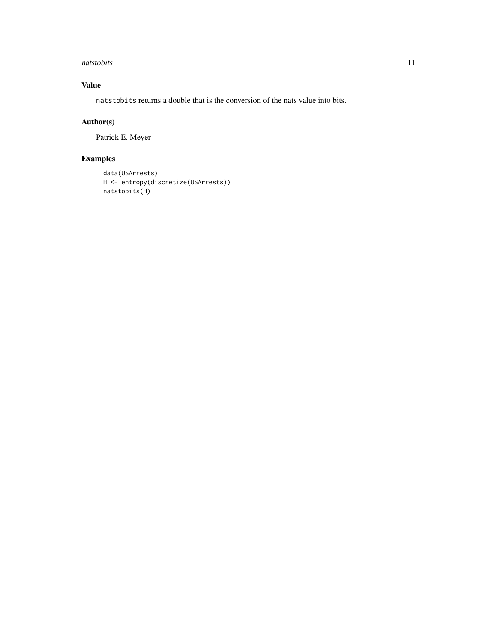#### natstobits and the contract of the contract of the contract of the contract of the contract of the contract of the contract of the contract of the contract of the contract of the contract of the contract of the contract of

# Value

natstobits returns a double that is the conversion of the nats value into bits.

# Author(s)

Patrick E. Meyer

# Examples

```
data(USArrests)
H <- entropy(discretize(USArrests))
natstobits(H)
```